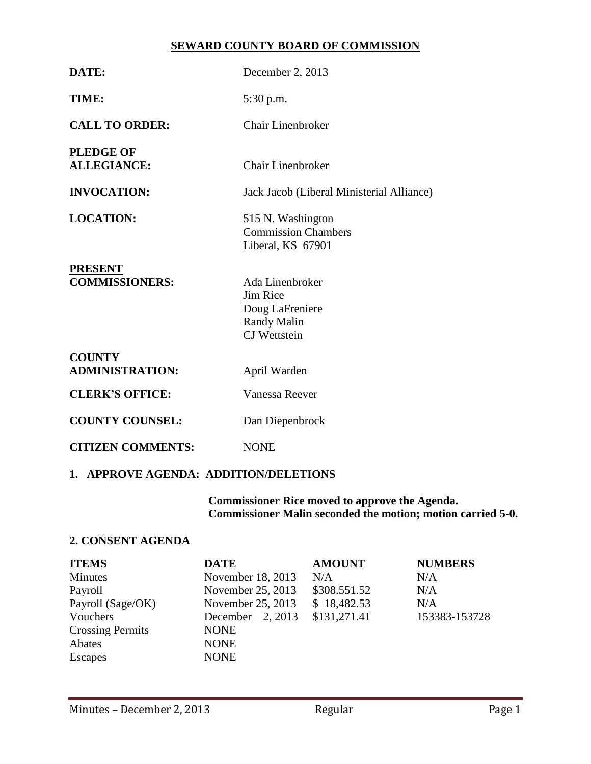# **SEWARD COUNTY BOARD OF COMMISSION**

| DATE:                                   | December 2, 2013                                                                                   |  |  |
|-----------------------------------------|----------------------------------------------------------------------------------------------------|--|--|
| TIME:                                   | 5:30 p.m.                                                                                          |  |  |
| <b>CALL TO ORDER:</b>                   | Chair Linenbroker                                                                                  |  |  |
| <b>PLEDGE OF</b><br><b>ALLEGIANCE:</b>  | <b>Chair Linenbroker</b>                                                                           |  |  |
| <b>INVOCATION:</b>                      | Jack Jacob (Liberal Ministerial Alliance)                                                          |  |  |
| <b>LOCATION:</b>                        | 515 N. Washington<br><b>Commission Chambers</b><br>Liberal, KS 67901                               |  |  |
| <b>PRESENT</b><br><b>COMMISSIONERS:</b> | Ada Linenbroker<br><b>Jim Rice</b><br>Doug LaFreniere<br><b>Randy Malin</b><br><b>CJ</b> Wettstein |  |  |
| <b>COUNTY</b><br><b>ADMINISTRATION:</b> | April Warden                                                                                       |  |  |
| <b>CLERK'S OFFICE:</b>                  | Vanessa Reever                                                                                     |  |  |
| <b>COUNTY COUNSEL:</b>                  | Dan Diepenbrock                                                                                    |  |  |
| <b>CITIZEN COMMENTS:</b>                | <b>NONE</b>                                                                                        |  |  |

# **1. APPROVE AGENDA: ADDITION/DELETIONS**

**Commissioner Rice moved to approve the Agenda. Commissioner Malin seconded the motion; motion carried 5-0.**

# **2. CONSENT AGENDA**

| <b>ITEMS</b>            | <b>DATE</b>        | <b>AMOUNT</b> | <b>NUMBERS</b> |
|-------------------------|--------------------|---------------|----------------|
| Minutes                 | November 18, 2013  | N/A           | N/A            |
| Payroll                 | November 25, 2013  | \$308.551.52  | N/A            |
| Payroll (Sage/OK)       | November 25, 2013  | \$18,482.53   | N/A            |
| Vouchers                | December $2, 2013$ | \$131,271.41  | 153383-153728  |
| <b>Crossing Permits</b> | <b>NONE</b>        |               |                |
| Abates                  | <b>NONE</b>        |               |                |
| Escapes                 | <b>NONE</b>        |               |                |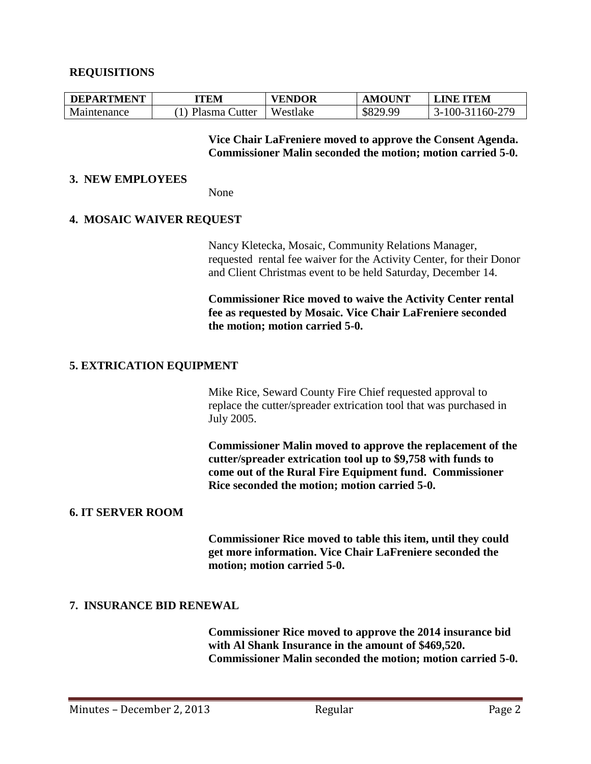### **REQUISITIONS**

| <b>DEPARTMENT</b> | TEM           | <b>VENDOR</b> | <b>AMOUNT</b> | <b>LINE ITEM</b>    |
|-------------------|---------------|---------------|---------------|---------------------|
| Maintenance       | Plasma Cutter | Westlake      | \$829.99      | 100-31160-279<br>↑– |

**Vice Chair LaFreniere moved to approve the Consent Agenda. Commissioner Malin seconded the motion; motion carried 5-0.**

#### **3. NEW EMPLOYEES**

None

#### **4. MOSAIC WAIVER REQUEST**

Nancy Kletecka, Mosaic, Community Relations Manager, requested rental fee waiver for the Activity Center, for their Donor and Client Christmas event to be held Saturday, December 14.

**Commissioner Rice moved to waive the Activity Center rental fee as requested by Mosaic. Vice Chair LaFreniere seconded the motion; motion carried 5-0.**

### **5. EXTRICATION EQUIPMENT**

Mike Rice, Seward County Fire Chief requested approval to replace the cutter/spreader extrication tool that was purchased in July 2005.

**Commissioner Malin moved to approve the replacement of the cutter/spreader extrication tool up to \$9,758 with funds to come out of the Rural Fire Equipment fund. Commissioner Rice seconded the motion; motion carried 5-0.**

#### **6. IT SERVER ROOM**

**Commissioner Rice moved to table this item, until they could get more information. Vice Chair LaFreniere seconded the motion; motion carried 5-0.**

#### **7. INSURANCE BID RENEWAL**

**Commissioner Rice moved to approve the 2014 insurance bid with Al Shank Insurance in the amount of \$469,520. Commissioner Malin seconded the motion; motion carried 5-0.**